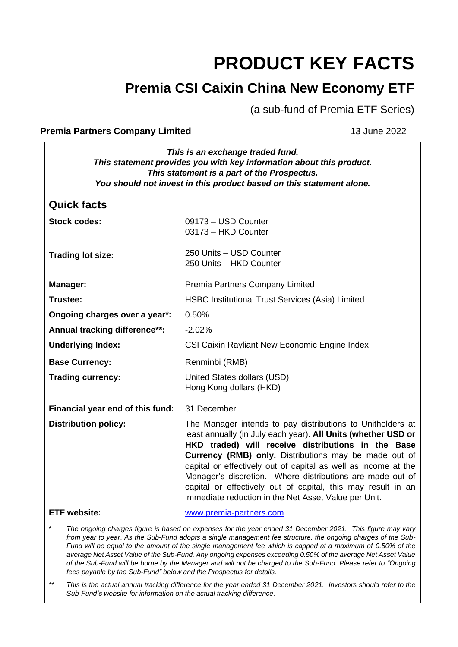# **PRODUCT KEY FACTS**

# **Premia CSI Caixin China New Economy ETF**

(a sub-fund of Premia ETF Series)

#### **Premia Partners Company Limited** 13 June 2022

| This is an exchange traded fund.<br>This statement provides you with key information about this product.<br>This statement is a part of the Prospectus.<br>You should not invest in this product based on this statement alone.                                                                                                                                                                                                                                                                                                                                                                                                                             |                                                                                                                                                                                                                                                                                                                                                                                                                                                                                                   |  |
|-------------------------------------------------------------------------------------------------------------------------------------------------------------------------------------------------------------------------------------------------------------------------------------------------------------------------------------------------------------------------------------------------------------------------------------------------------------------------------------------------------------------------------------------------------------------------------------------------------------------------------------------------------------|---------------------------------------------------------------------------------------------------------------------------------------------------------------------------------------------------------------------------------------------------------------------------------------------------------------------------------------------------------------------------------------------------------------------------------------------------------------------------------------------------|--|
| <b>Quick facts</b>                                                                                                                                                                                                                                                                                                                                                                                                                                                                                                                                                                                                                                          |                                                                                                                                                                                                                                                                                                                                                                                                                                                                                                   |  |
| <b>Stock codes:</b>                                                                                                                                                                                                                                                                                                                                                                                                                                                                                                                                                                                                                                         | 09173 - USD Counter<br>03173 - HKD Counter                                                                                                                                                                                                                                                                                                                                                                                                                                                        |  |
| <b>Trading lot size:</b>                                                                                                                                                                                                                                                                                                                                                                                                                                                                                                                                                                                                                                    | 250 Units - USD Counter<br>250 Units - HKD Counter                                                                                                                                                                                                                                                                                                                                                                                                                                                |  |
| <b>Manager:</b>                                                                                                                                                                                                                                                                                                                                                                                                                                                                                                                                                                                                                                             | Premia Partners Company Limited                                                                                                                                                                                                                                                                                                                                                                                                                                                                   |  |
| Trustee:                                                                                                                                                                                                                                                                                                                                                                                                                                                                                                                                                                                                                                                    | <b>HSBC Institutional Trust Services (Asia) Limited</b>                                                                                                                                                                                                                                                                                                                                                                                                                                           |  |
| Ongoing charges over a year*:                                                                                                                                                                                                                                                                                                                                                                                                                                                                                                                                                                                                                               | 0.50%                                                                                                                                                                                                                                                                                                                                                                                                                                                                                             |  |
| Annual tracking difference**:                                                                                                                                                                                                                                                                                                                                                                                                                                                                                                                                                                                                                               | $-2.02%$                                                                                                                                                                                                                                                                                                                                                                                                                                                                                          |  |
| <b>Underlying Index:</b>                                                                                                                                                                                                                                                                                                                                                                                                                                                                                                                                                                                                                                    | CSI Caixin Rayliant New Economic Engine Index                                                                                                                                                                                                                                                                                                                                                                                                                                                     |  |
| <b>Base Currency:</b>                                                                                                                                                                                                                                                                                                                                                                                                                                                                                                                                                                                                                                       | Renminbi (RMB)                                                                                                                                                                                                                                                                                                                                                                                                                                                                                    |  |
| <b>Trading currency:</b>                                                                                                                                                                                                                                                                                                                                                                                                                                                                                                                                                                                                                                    | United States dollars (USD)<br>Hong Kong dollars (HKD)                                                                                                                                                                                                                                                                                                                                                                                                                                            |  |
| Financial year end of this fund:                                                                                                                                                                                                                                                                                                                                                                                                                                                                                                                                                                                                                            | 31 December                                                                                                                                                                                                                                                                                                                                                                                                                                                                                       |  |
| <b>Distribution policy:</b>                                                                                                                                                                                                                                                                                                                                                                                                                                                                                                                                                                                                                                 | The Manager intends to pay distributions to Unitholders at<br>least annually (in July each year). All Units (whether USD or<br>HKD traded) will receive distributions in the Base<br>Currency (RMB) only. Distributions may be made out of<br>capital or effectively out of capital as well as income at the<br>Manager's discretion. Where distributions are made out of<br>capital or effectively out of capital, this may result in an<br>immediate reduction in the Net Asset Value per Unit. |  |
| <b>ETF</b> website:                                                                                                                                                                                                                                                                                                                                                                                                                                                                                                                                                                                                                                         | www.premia-partners.com                                                                                                                                                                                                                                                                                                                                                                                                                                                                           |  |
| $\star$<br>The ongoing charges figure is based on expenses for the year ended 31 December 2021. This figure may vary<br>from year to year. As the Sub-Fund adopts a single management fee structure, the ongoing charges of the Sub-<br>Fund will be equal to the amount of the single management fee which is capped at a maximum of 0.50% of the<br>average Net Asset Value of the Sub-Fund. Any ongoing expenses exceeding 0.50% of the average Net Asset Value<br>of the Sub-Fund will be borne by the Manager and will not be charged to the Sub-Fund. Please refer to "Ongoing<br>fees payable by the Sub-Fund" below and the Prospectus for details. |                                                                                                                                                                                                                                                                                                                                                                                                                                                                                                   |  |

*\*\* This is the actual annual tracking difference for the year ended 31 December 2021. Investors should refer to the Sub-Fund's website for information on the actual tracking difference*.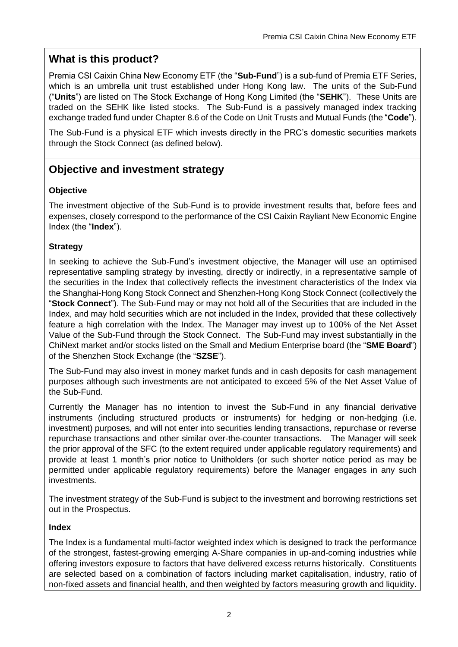# **What is this product?**

Premia CSI Caixin China New Economy ETF (the "**Sub-Fund**") is a sub-fund of Premia ETF Series, which is an umbrella unit trust established under Hong Kong law. The units of the Sub-Fund ("**Units**") are listed on The Stock Exchange of Hong Kong Limited (the "**SEHK**"). These Units are traded on the SEHK like listed stocks. The Sub-Fund is a passively managed index tracking exchange traded fund under Chapter 8.6 of the Code on Unit Trusts and Mutual Funds (the "**Code**").

The Sub-Fund is a physical ETF which invests directly in the PRC's domestic securities markets through the Stock Connect (as defined below).

# **Objective and investment strategy**

#### **Objective**

The investment objective of the Sub-Fund is to provide investment results that, before fees and expenses, closely correspond to the performance of the CSI Caixin Rayliant New Economic Engine Index (the "**Index**").

#### **Strategy**

In seeking to achieve the Sub-Fund's investment objective, the Manager will use an optimised representative sampling strategy by investing, directly or indirectly, in a representative sample of the securities in the Index that collectively reflects the investment characteristics of the Index via the Shanghai-Hong Kong Stock Connect and Shenzhen-Hong Kong Stock Connect (collectively the "**Stock Connect**"). The Sub-Fund may or may not hold all of the Securities that are included in the Index, and may hold securities which are not included in the Index, provided that these collectively feature a high correlation with the Index. The Manager may invest up to 100% of the Net Asset Value of the Sub-Fund through the Stock Connect. The Sub-Fund may invest substantially in the ChiNext market and/or stocks listed on the Small and Medium Enterprise board (the "**SME Board**") of the Shenzhen Stock Exchange (the "**SZSE**").

The Sub-Fund may also invest in money market funds and in cash deposits for cash management purposes although such investments are not anticipated to exceed 5% of the Net Asset Value of the Sub-Fund.

Currently the Manager has no intention to invest the Sub-Fund in any financial derivative instruments (including structured products or instruments) for hedging or non-hedging (i.e. investment) purposes, and will not enter into securities lending transactions, repurchase or reverse repurchase transactions and other similar over-the-counter transactions. The Manager will seek the prior approval of the SFC (to the extent required under applicable regulatory requirements) and provide at least 1 month's prior notice to Unitholders (or such shorter notice period as may be permitted under applicable regulatory requirements) before the Manager engages in any such investments.

The investment strategy of the Sub-Fund is subject to the investment and borrowing restrictions set out in the Prospectus.

#### **Index**

The Index is a fundamental multi-factor weighted index which is designed to track the performance of the strongest, fastest-growing emerging A-Share companies in up-and-coming industries while offering investors exposure to factors that have delivered excess returns historically. Constituents are selected based on a combination of factors including market capitalisation, industry, ratio of non-fixed assets and financial health, and then weighted by factors measuring growth and liquidity.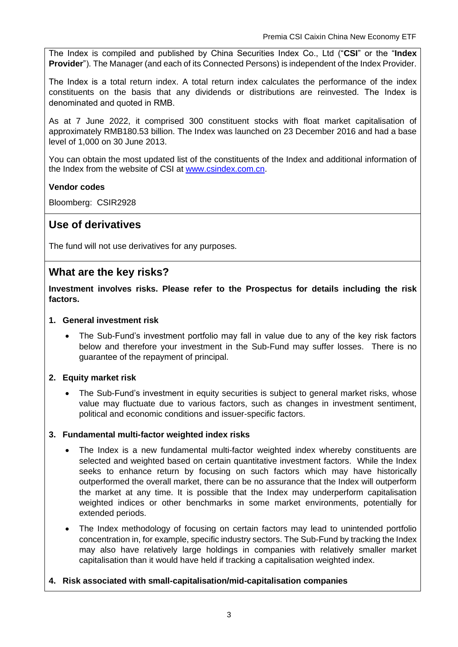The Index is compiled and published by China Securities Index Co., Ltd ("**CSI**" or the "**Index Provider**"). The Manager (and each of its Connected Persons) is independent of the Index Provider.

The Index is a total return index. A total return index calculates the performance of the index constituents on the basis that any dividends or distributions are reinvested. The Index is denominated and quoted in RMB.

As at 7 June 2022, it comprised 300 constituent stocks with float market capitalisation of approximately RMB180.53 billion. The Index was launched on 23 December 2016 and had a base level of 1,000 on 30 June 2013.

You can obtain the most updated list of the constituents of the Index and additional information of the Index from the website of CSI at [www.csindex.com.cn.](http://www.csindex.com.cn/)

#### **Vendor codes**

Bloomberg: CSIR2928

# **Use of derivatives**

The fund will not use derivatives for any purposes.

# **What are the key risks?**

**Investment involves risks. Please refer to the Prospectus for details including the risk factors.**

#### **1. General investment risk**

• The Sub-Fund's investment portfolio may fall in value due to any of the key risk factors below and therefore your investment in the Sub-Fund may suffer losses. There is no guarantee of the repayment of principal.

#### **2. Equity market risk**

• The Sub-Fund's investment in equity securities is subject to general market risks, whose value may fluctuate due to various factors, such as changes in investment sentiment, political and economic conditions and issuer-specific factors.

#### **3. Fundamental multi-factor weighted index risks**

- The Index is a new fundamental multi-factor weighted index whereby constituents are selected and weighted based on certain quantitative investment factors. While the Index seeks to enhance return by focusing on such factors which may have historically outperformed the overall market, there can be no assurance that the Index will outperform the market at any time. It is possible that the Index may underperform capitalisation weighted indices or other benchmarks in some market environments, potentially for extended periods.
- The Index methodology of focusing on certain factors may lead to unintended portfolio concentration in, for example, specific industry sectors. The Sub-Fund by tracking the Index may also have relatively large holdings in companies with relatively smaller market capitalisation than it would have held if tracking a capitalisation weighted index.

#### **4. Risk associated with small-capitalisation/mid-capitalisation companies**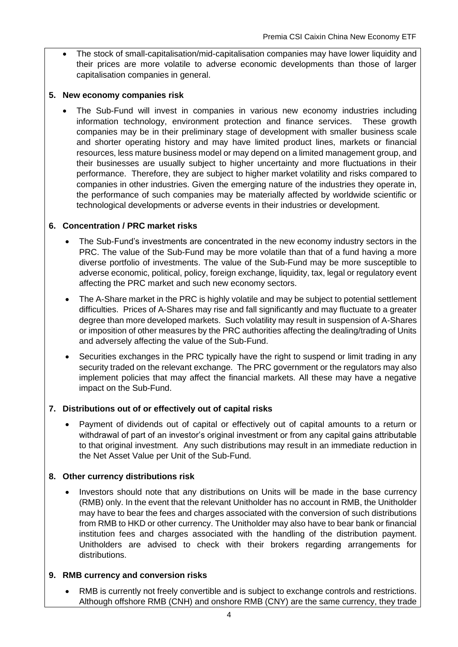• The stock of small-capitalisation/mid-capitalisation companies may have lower liquidity and their prices are more volatile to adverse economic developments than those of larger capitalisation companies in general.

#### **5. New economy companies risk**

• The Sub-Fund will invest in companies in various new economy industries including information technology, environment protection and finance services. These growth companies may be in their preliminary stage of development with smaller business scale and shorter operating history and may have limited product lines, markets or financial resources, less mature business model or may depend on a limited management group, and their businesses are usually subject to higher uncertainty and more fluctuations in their performance. Therefore, they are subject to higher market volatility and risks compared to companies in other industries. Given the emerging nature of the industries they operate in, the performance of such companies may be materially affected by worldwide scientific or technological developments or adverse events in their industries or development.

#### **6. Concentration / PRC market risks**

- The Sub-Fund's investments are concentrated in the new economy industry sectors in the PRC. The value of the Sub-Fund may be more volatile than that of a fund having a more diverse portfolio of investments. The value of the Sub-Fund may be more susceptible to adverse economic, political, policy, foreign exchange, liquidity, tax, legal or regulatory event affecting the PRC market and such new economy sectors.
- The A-Share market in the PRC is highly volatile and may be subiect to potential settlement difficulties. Prices of A-Shares may rise and fall significantly and may fluctuate to a greater degree than more developed markets. Such volatility may result in suspension of A-Shares or imposition of other measures by the PRC authorities affecting the dealing/trading of Units and adversely affecting the value of the Sub-Fund.
- Securities exchanges in the PRC typically have the right to suspend or limit trading in any security traded on the relevant exchange. The PRC government or the regulators may also implement policies that may affect the financial markets. All these may have a negative impact on the Sub-Fund.

#### **7. Distributions out of or effectively out of capital risks**

• Payment of dividends out of capital or effectively out of capital amounts to a return or withdrawal of part of an investor's original investment or from any capital gains attributable to that original investment. Any such distributions may result in an immediate reduction in the Net Asset Value per Unit of the Sub-Fund.

#### **8. Other currency distributions risk**

• Investors should note that any distributions on Units will be made in the base currency (RMB) only. In the event that the relevant Unitholder has no account in RMB, the Unitholder may have to bear the fees and charges associated with the conversion of such distributions from RMB to HKD or other currency. The Unitholder may also have to bear bank or financial institution fees and charges associated with the handling of the distribution payment. Unitholders are advised to check with their brokers regarding arrangements for distributions.

#### **9. RMB currency and conversion risks**

• RMB is currently not freely convertible and is subject to exchange controls and restrictions. Although offshore RMB (CNH) and onshore RMB (CNY) are the same currency, they trade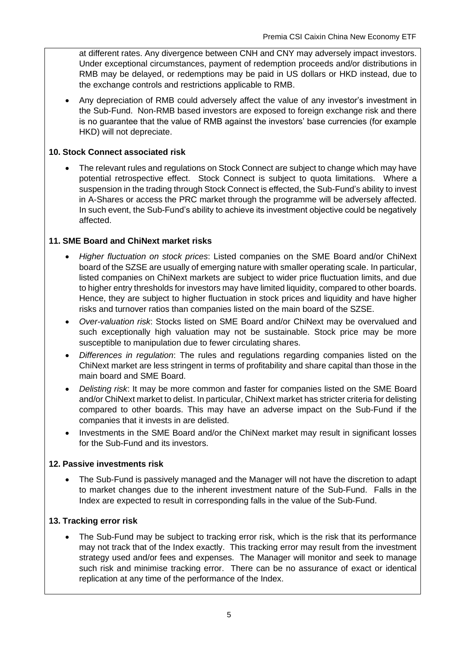at different rates. Any divergence between CNH and CNY may adversely impact investors. Under exceptional circumstances, payment of redemption proceeds and/or distributions in RMB may be delayed, or redemptions may be paid in US dollars or HKD instead, due to the exchange controls and restrictions applicable to RMB.

• Any depreciation of RMB could adversely affect the value of any investor's investment in the Sub-Fund. Non-RMB based investors are exposed to foreign exchange risk and there is no guarantee that the value of RMB against the investors' base currencies (for example HKD) will not depreciate.

#### **10. Stock Connect associated risk**

• The relevant rules and regulations on Stock Connect are subject to change which may have potential retrospective effect. Stock Connect is subject to quota limitations. Where a suspension in the trading through Stock Connect is effected, the Sub-Fund's ability to invest in A-Shares or access the PRC market through the programme will be adversely affected. In such event, the Sub-Fund's ability to achieve its investment objective could be negatively affected.

#### **11. SME Board and ChiNext market risks**

- *Higher fluctuation on stock prices*: Listed companies on the SME Board and/or ChiNext board of the SZSE are usually of emerging nature with smaller operating scale. In particular, listed companies on ChiNext markets are subject to wider price fluctuation limits, and due to higher entry thresholds for investors may have limited liquidity, compared to other boards. Hence, they are subject to higher fluctuation in stock prices and liquidity and have higher risks and turnover ratios than companies listed on the main board of the SZSE.
- *Over-valuation risk*: Stocks listed on SME Board and/or ChiNext may be overvalued and such exceptionally high valuation may not be sustainable. Stock price may be more susceptible to manipulation due to fewer circulating shares.
- *Differences in regulation*: The rules and regulations regarding companies listed on the ChiNext market are less stringent in terms of profitability and share capital than those in the main board and SME Board.
- *Delisting risk*: It may be more common and faster for companies listed on the SME Board and/or ChiNext market to delist. In particular, ChiNext market has stricter criteria for delisting compared to other boards. This may have an adverse impact on the Sub-Fund if the companies that it invests in are delisted.
- Investments in the SME Board and/or the ChiNext market may result in significant losses for the Sub-Fund and its investors.

#### **12. Passive investments risk**

• The Sub-Fund is passively managed and the Manager will not have the discretion to adapt to market changes due to the inherent investment nature of the Sub-Fund. Falls in the Index are expected to result in corresponding falls in the value of the Sub-Fund.

#### **13. Tracking error risk**

The Sub-Fund may be subject to tracking error risk, which is the risk that its performance may not track that of the Index exactly. This tracking error may result from the investment strategy used and/or fees and expenses. The Manager will monitor and seek to manage such risk and minimise tracking error. There can be no assurance of exact or identical replication at any time of the performance of the Index.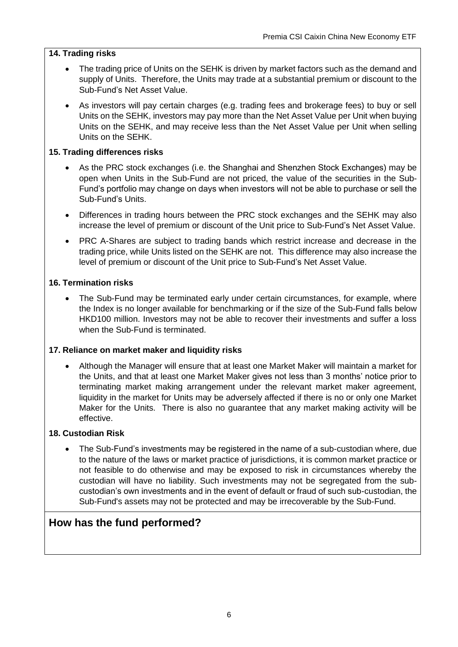#### **14. Trading risks**

- The trading price of Units on the SEHK is driven by market factors such as the demand and supply of Units. Therefore, the Units may trade at a substantial premium or discount to the Sub-Fund's Net Asset Value.
- As investors will pay certain charges (e.g. trading fees and brokerage fees) to buy or sell Units on the SEHK, investors may pay more than the Net Asset Value per Unit when buying Units on the SEHK, and may receive less than the Net Asset Value per Unit when selling Units on the SEHK.

#### **15. Trading differences risks**

- As the PRC stock exchanges (i.e. the Shanghai and Shenzhen Stock Exchanges) may be open when Units in the Sub-Fund are not priced, the value of the securities in the Sub-Fund's portfolio may change on days when investors will not be able to purchase or sell the Sub-Fund's Units.
- Differences in trading hours between the PRC stock exchanges and the SEHK may also increase the level of premium or discount of the Unit price to Sub-Fund's Net Asset Value.
- PRC A-Shares are subject to trading bands which restrict increase and decrease in the trading price, while Units listed on the SEHK are not. This difference may also increase the level of premium or discount of the Unit price to Sub-Fund's Net Asset Value.

#### **16. Termination risks**

The Sub-Fund may be terminated early under certain circumstances, for example, where the Index is no longer available for benchmarking or if the size of the Sub-Fund falls below HKD100 million. Investors may not be able to recover their investments and suffer a loss when the Sub-Fund is terminated.

#### **17. Reliance on market maker and liquidity risks**

• Although the Manager will ensure that at least one Market Maker will maintain a market for the Units, and that at least one Market Maker gives not less than 3 months' notice prior to terminating market making arrangement under the relevant market maker agreement, liquidity in the market for Units may be adversely affected if there is no or only one Market Maker for the Units. There is also no guarantee that any market making activity will be effective.

#### **18. Custodian Risk**

• The Sub-Fund's investments may be registered in the name of a sub-custodian where, due to the nature of the laws or market practice of jurisdictions, it is common market practice or not feasible to do otherwise and may be exposed to risk in circumstances whereby the custodian will have no liability. Such investments may not be segregated from the subcustodian's own investments and in the event of default or fraud of such sub-custodian, the Sub-Fund's assets may not be protected and may be irrecoverable by the Sub-Fund.

# **How has the fund performed?**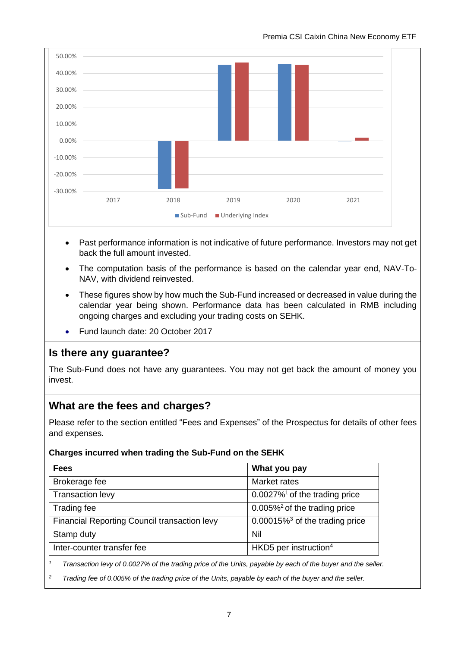

- Past performance information is not indicative of future performance. Investors may not get back the full amount invested.
- The computation basis of the performance is based on the calendar year end, NAV-To-NAV, with dividend reinvested.
- These figures show by how much the Sub-Fund increased or decreased in value during the calendar year being shown. Performance data has been calculated in RMB including ongoing charges and excluding your trading costs on SEHK.
- Fund launch date: 20 October 2017

# **Is there any guarantee?**

The Sub-Fund does not have any guarantees. You may not get back the amount of money you invest.

### **What are the fees and charges?**

Please refer to the section entitled "Fees and Expenses" of the Prospectus for details of other fees and expenses.

#### **Charges incurred when trading the Sub-Fund on the SEHK**

| <b>Fees</b>                                  | What you pay                                  |
|----------------------------------------------|-----------------------------------------------|
| Brokerage fee                                | Market rates                                  |
| Transaction levy                             | $0.0027\%$ <sup>1</sup> of the trading price  |
| Trading fee                                  | $0.005\%$ <sup>2</sup> of the trading price   |
| Financial Reporting Council transaction levy | $0.00015\%$ <sup>3</sup> of the trading price |
| Stamp duty                                   | Nil                                           |
| Inter-counter transfer fee                   | HKD5 per instruction $4$                      |

*<sup>1</sup> Transaction levy of 0.0027% of the trading price of the Units, payable by each of the buyer and the seller.*

*<sup>2</sup> Trading fee of 0.005% of the trading price of the Units, payable by each of the buyer and the seller.*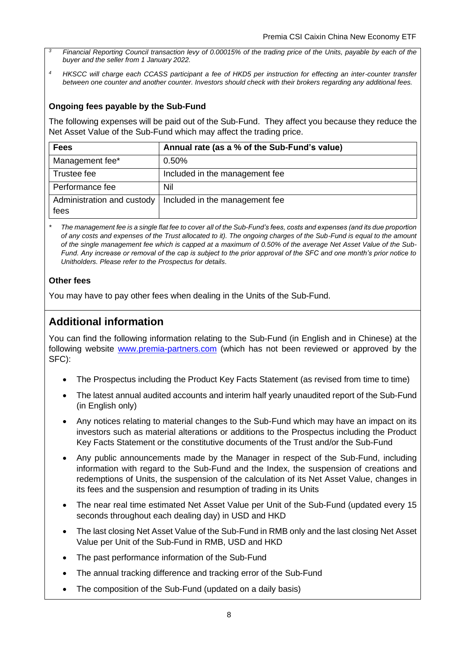- *<sup>3</sup>Financial Reporting Council transaction levy of 0.00015% of the trading price of the Units, payable by each of the buyer and the seller from 1 January 2022.*
- *<sup>4</sup> HKSCC will charge each CCASS participant a fee of HKD5 per instruction for effecting an inter-counter transfer between one counter and another counter. Investors should check with their brokers regarding any additional fees.*

#### **Ongoing fees payable by the Sub-Fund**

The following expenses will be paid out of the Sub-Fund. They affect you because they reduce the Net Asset Value of the Sub-Fund which may affect the trading price.

| <b>Fees</b>                        | Annual rate (as a % of the Sub-Fund's value) |
|------------------------------------|----------------------------------------------|
| Management fee*                    | 0.50%                                        |
| Trustee fee                        | Included in the management fee               |
| Performance fee                    | Nil                                          |
| Administration and custody<br>fees | Included in the management fee               |

*\* The management fee is a single flat fee to cover all of the Sub-Fund's fees, costs and expenses (and its due proportion of any costs and expenses of the Trust allocated to it). The ongoing charges of the Sub-Fund is equal to the amount of the single management fee which is capped at a maximum of 0.50% of the average Net Asset Value of the Sub-Fund. Any increase or removal of the cap is subject to the prior approval of the SFC and one month's prior notice to Unitholders. Please refer to the Prospectus for details.*

#### **Other fees**

You may have to pay other fees when dealing in the Units of the Sub-Fund.

# **Additional information**

You can find the following information relating to the Sub-Fund (in English and in Chinese) at the following website [www.premia-partners.com](http://www.premia-partners.com/) (which has not been reviewed or approved by the SFC):

- The Prospectus including the Product Key Facts Statement (as revised from time to time)
- The latest annual audited accounts and interim half yearly unaudited report of the Sub-Fund (in English only)
- Any notices relating to material changes to the Sub-Fund which may have an impact on its investors such as material alterations or additions to the Prospectus including the Product Key Facts Statement or the constitutive documents of the Trust and/or the Sub-Fund
- Any public announcements made by the Manager in respect of the Sub-Fund, including information with regard to the Sub-Fund and the Index, the suspension of creations and redemptions of Units, the suspension of the calculation of its Net Asset Value, changes in its fees and the suspension and resumption of trading in its Units
- The near real time estimated Net Asset Value per Unit of the Sub-Fund (updated every 15 seconds throughout each dealing day) in USD and HKD
- The last closing Net Asset Value of the Sub-Fund in RMB only and the last closing Net Asset Value per Unit of the Sub-Fund in RMB, USD and HKD
- The past performance information of the Sub-Fund
- The annual tracking difference and tracking error of the Sub-Fund
- The composition of the Sub-Fund (updated on a daily basis)